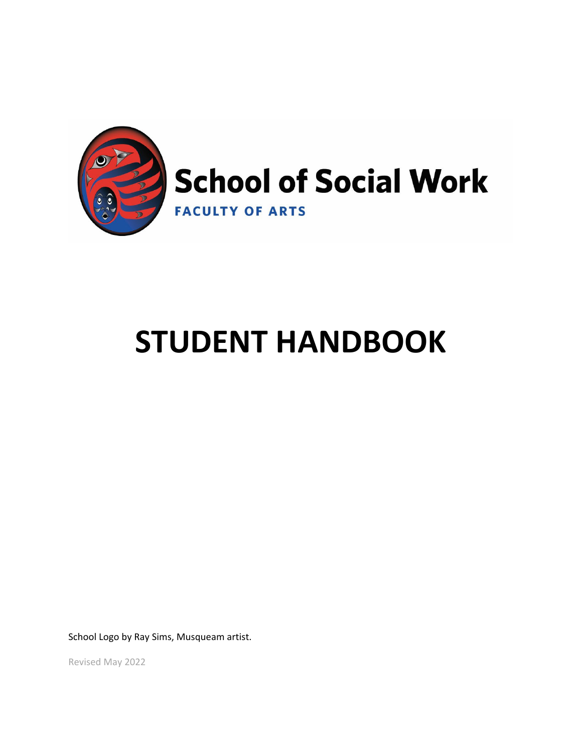

# **STUDENT HANDBOOK**

School Logo by Ray Sims, Musqueam artist.

Revised May 2022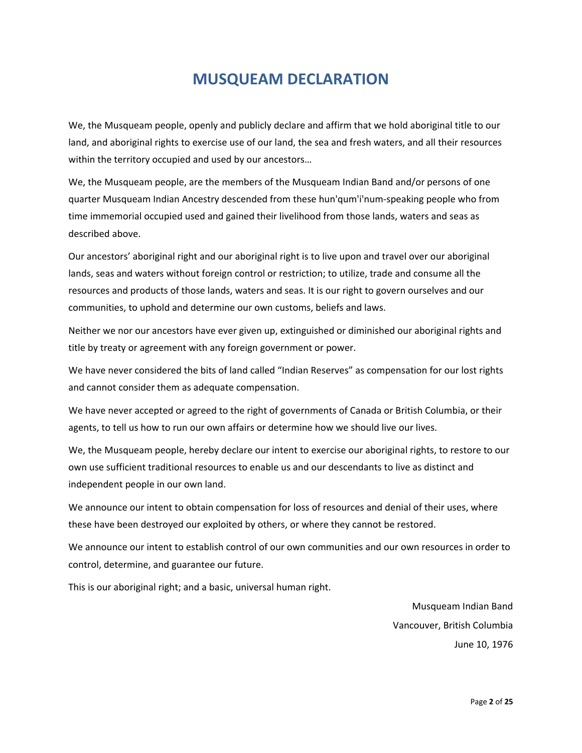# **MUSQUEAM DECLARATION**

We, the Musqueam people, openly and publicly declare and affirm that we hold aboriginal title to our land, and aboriginal rights to exercise use of our land, the sea and fresh waters, and all their resources within the territory occupied and used by our ancestors…

We, the Musqueam people, are the members of the Musqueam Indian Band and/or persons of one quarter Musqueam Indian Ancestry descended from these hun'qum'i'num-speaking people who from time immemorial occupied used and gained their livelihood from those lands, waters and seas as described above.

Our ancestors' aboriginal right and our aboriginal right is to live upon and travel over our aboriginal lands, seas and waters without foreign control or restriction; to utilize, trade and consume all the resources and products of those lands, waters and seas. It is our right to govern ourselves and our communities, to uphold and determine our own customs, beliefs and laws.

Neither we nor our ancestors have ever given up, extinguished or diminished our aboriginal rights and title by treaty or agreement with any foreign government or power.

We have never considered the bits of land called "Indian Reserves" as compensation for our lost rights and cannot consider them as adequate compensation.

We have never accepted or agreed to the right of governments of Canada or British Columbia, or their agents, to tell us how to run our own affairs or determine how we should live our lives.

We, the Musqueam people, hereby declare our intent to exercise our aboriginal rights, to restore to our own use sufficient traditional resources to enable us and our descendants to live as distinct and independent people in our own land.

We announce our intent to obtain compensation for loss of resources and denial of their uses, where these have been destroyed our exploited by others, or where they cannot be restored.

We announce our intent to establish control of our own communities and our own resources in order to control, determine, and guarantee our future.

This is our aboriginal right; and a basic, universal human right.

Musqueam Indian Band Vancouver, British Columbia June 10, 1976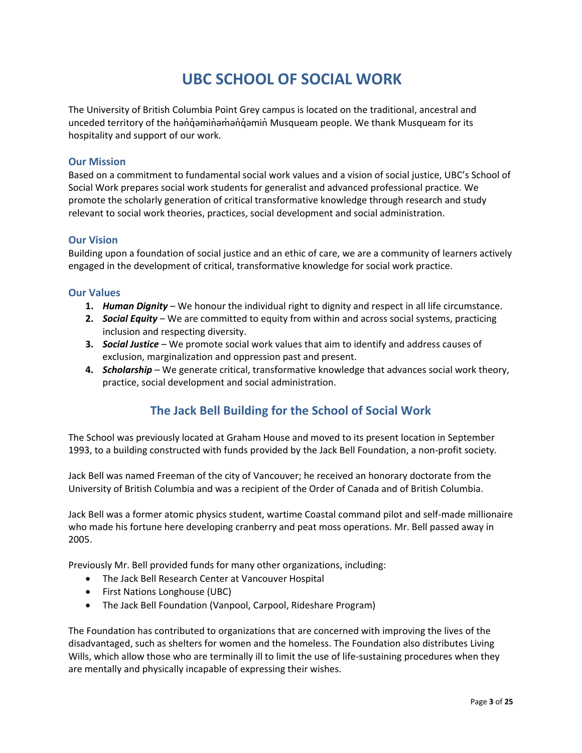# **UBC SCHOOL OF SOCIAL WORK**

The University of British Columbia Point Grey campus is located on the traditional, ancestral and unceded territory of the həndəminəmən dənin Musqueam people. We thank Musqueam for its hospitality and support of our work.

#### **Our Mission**

Based on a commitment to fundamental social work values and a vision of social justice, UBC's School of Social Work prepares social work students for generalist and advanced professional practice. We promote the scholarly generation of critical transformative knowledge through research and study relevant to social work theories, practices, social development and social administration.

#### **Our Vision**

Building upon a foundation of social justice and an ethic of care, we are a community of learners actively engaged in the development of critical, transformative knowledge for social work practice.

#### **Our Values**

- **1.** *Human Dignity* We honour the individual right to dignity and respect in all life circumstance.
- **2.** *Social Equity* We are committed to equity from within and across social systems, practicing inclusion and respecting diversity.
- **3.** *Social Justice* We promote social work values that aim to identify and address causes of exclusion, marginalization and oppression past and present.
- **4.** *Scholarship* We generate critical, transformative knowledge that advances social work theory, practice, social development and social administration.

### **The Jack Bell Building for the School of Social Work**

The School was previously located at Graham House and moved to its present location in September 1993, to a building constructed with funds provided by the Jack Bell Foundation, a non-profit society.

Jack Bell was named Freeman of the city of Vancouver; he received an honorary doctorate from the University of British Columbia and was a recipient of the Order of Canada and of British Columbia.

Jack Bell was a former atomic physics student, wartime Coastal command pilot and self-made millionaire who made his fortune here developing cranberry and peat moss operations. Mr. Bell passed away in 2005.

Previously Mr. Bell provided funds for many other organizations, including:

- The Jack Bell Research Center at Vancouver Hospital
- First Nations Longhouse (UBC)
- The Jack Bell Foundation (Vanpool, Carpool, Rideshare Program)

The Foundation has contributed to organizations that are concerned with improving the lives of the disadvantaged, such as shelters for women and the homeless. The Foundation also distributes Living Wills, which allow those who are terminally ill to limit the use of life-sustaining procedures when they are mentally and physically incapable of expressing their wishes.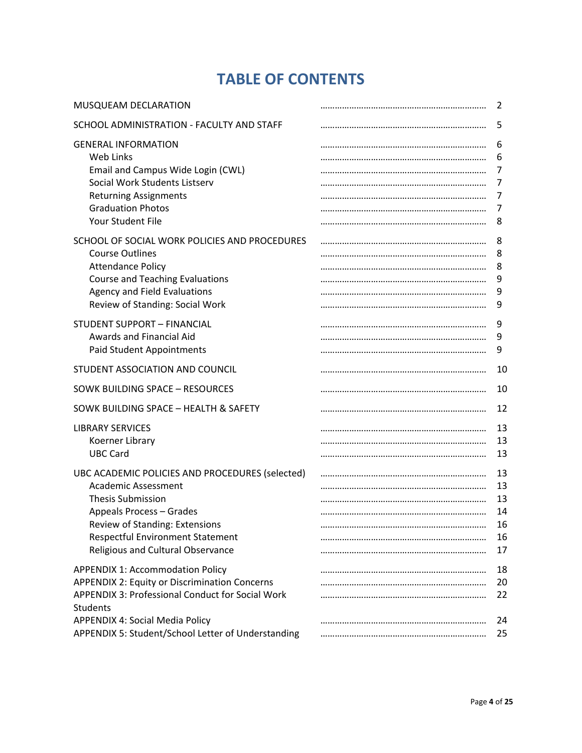# **TABLE OF CONTENTS**

| MUSQUEAM DECLARATION                                                                                                                                                                                                                                                          | 2                                      |
|-------------------------------------------------------------------------------------------------------------------------------------------------------------------------------------------------------------------------------------------------------------------------------|----------------------------------------|
| SCHOOL ADMINISTRATION - FACULTY AND STAFF                                                                                                                                                                                                                                     | 5                                      |
| <b>GENERAL INFORMATION</b><br>Web Links<br>Email and Campus Wide Login (CWL)<br>Social Work Students Listserv<br><b>Returning Assignments</b><br><b>Graduation Photos</b>                                                                                                     | 6<br>6<br>7<br>7<br>7<br>7             |
| Your Student File                                                                                                                                                                                                                                                             | 8                                      |
| SCHOOL OF SOCIAL WORK POLICIES AND PROCEDURES<br><b>Course Outlines</b><br><b>Attendance Policy</b><br><b>Course and Teaching Evaluations</b><br>Agency and Field Evaluations<br>Review of Standing: Social Work                                                              | 8<br>8<br>8<br>9<br>9<br>9             |
| <b>STUDENT SUPPORT - FINANCIAL</b><br>Awards and Financial Aid<br>Paid Student Appointments                                                                                                                                                                                   | 9<br>9<br>9                            |
| STUDENT ASSOCIATION AND COUNCIL                                                                                                                                                                                                                                               | 10                                     |
| SOWK BUILDING SPACE - RESOURCES                                                                                                                                                                                                                                               | 10                                     |
| SOWK BUILDING SPACE - HEALTH & SAFETY                                                                                                                                                                                                                                         | 12                                     |
| <b>LIBRARY SERVICES</b><br>Koerner Library<br><b>UBC Card</b>                                                                                                                                                                                                                 | 13<br>13<br>13                         |
| UBC ACADEMIC POLICIES AND PROCEDURES (selected)<br><b>Academic Assessment</b><br><b>Thesis Submission</b><br>Appeals Process - Grades<br>Review of Standing: Extensions<br><b>Respectful Environment Statement</b><br>Religious and Cultural Observance                       | 13<br>13<br>13<br>14<br>16<br>16<br>17 |
| <b>APPENDIX 1: Accommodation Policy</b><br><b>APPENDIX 2: Equity or Discrimination Concerns</b><br><b>APPENDIX 3: Professional Conduct for Social Work</b><br><b>Students</b><br><b>APPENDIX 4: Social Media Policy</b><br>APPENDIX 5: Student/School Letter of Understanding | 18<br>20<br>22<br>24<br>25             |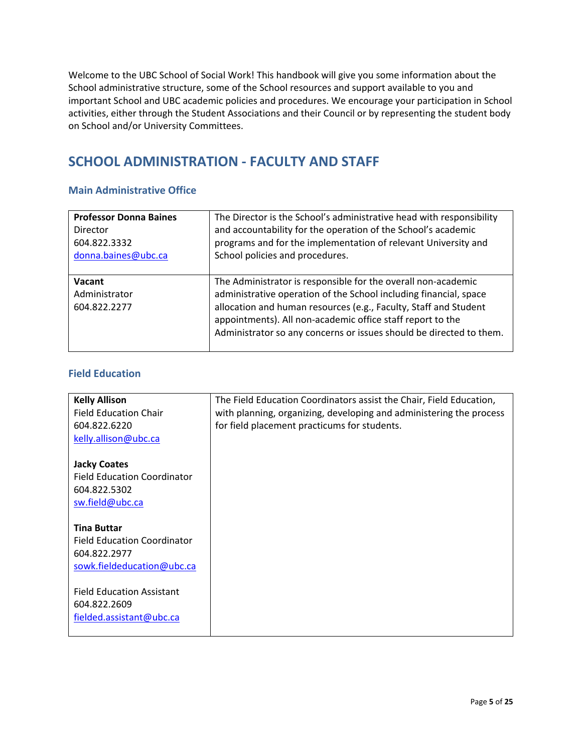Welcome to the UBC School of Social Work! This handbook will give you some information about the School administrative structure, some of the School resources and support available to you and important School and UBC academic policies and procedures. We encourage your participation in School activities, either through the Student Associations and their Council or by representing the student body on School and/or University Committees.

## **SCHOOL ADMINISTRATION - FACULTY AND STAFF**

#### **Main Administrative Office**

| <b>Professor Donna Baines</b>           | The Director is the School's administrative head with responsibility                                                                                                                                                                                                                                                                        |
|-----------------------------------------|---------------------------------------------------------------------------------------------------------------------------------------------------------------------------------------------------------------------------------------------------------------------------------------------------------------------------------------------|
| <b>Director</b>                         | and accountability for the operation of the School's academic                                                                                                                                                                                                                                                                               |
| 604.822.3332                            | programs and for the implementation of relevant University and                                                                                                                                                                                                                                                                              |
| donna.baines@ubc.ca                     | School policies and procedures.                                                                                                                                                                                                                                                                                                             |
| Vacant<br>Administrator<br>604.822.2277 | The Administrator is responsible for the overall non-academic<br>administrative operation of the School including financial, space<br>allocation and human resources (e.g., Faculty, Staff and Student<br>appointments). All non-academic office staff report to the<br>Administrator so any concerns or issues should be directed to them. |

#### **Field Education**

| <b>Kelly Allison</b>               | The Field Education Coordinators assist the Chair, Field Education, |
|------------------------------------|---------------------------------------------------------------------|
| <b>Field Education Chair</b>       | with planning, organizing, developing and administering the process |
| 604.822.6220                       | for field placement practicums for students.                        |
| kelly.allison@ubc.ca               |                                                                     |
|                                    |                                                                     |
| <b>Jacky Coates</b>                |                                                                     |
| <b>Field Education Coordinator</b> |                                                                     |
| 604.822.5302                       |                                                                     |
| sw.field@ubc.ca                    |                                                                     |
|                                    |                                                                     |
| <b>Tina Buttar</b>                 |                                                                     |
| <b>Field Education Coordinator</b> |                                                                     |
| 604.822.2977                       |                                                                     |
| sowk.fieldeducation@ubc.ca         |                                                                     |
|                                    |                                                                     |
| <b>Field Education Assistant</b>   |                                                                     |
| 604.822.2609                       |                                                                     |
| fielded.assistant@ubc.ca           |                                                                     |
|                                    |                                                                     |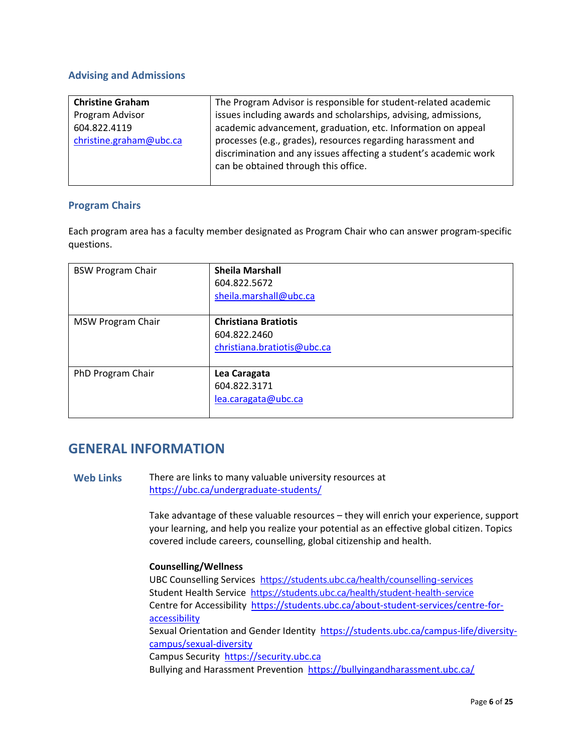#### **Advising and Admissions**

| <b>Christine Graham</b> | The Program Advisor is responsible for student-related academic                                                                                                           |
|-------------------------|---------------------------------------------------------------------------------------------------------------------------------------------------------------------------|
| Program Advisor         | issues including awards and scholarships, advising, admissions,                                                                                                           |
| 604.822.4119            | academic advancement, graduation, etc. Information on appeal                                                                                                              |
| christine.graham@ubc.ca | processes (e.g., grades), resources regarding harassment and<br>discrimination and any issues affecting a student's academic work<br>can be obtained through this office. |

#### **Program Chairs**

Each program area has a faculty member designated as Program Chair who can answer program-specific questions.

| <b>BSW Program Chair</b> | <b>Sheila Marshall</b><br>604.822.5672<br>sheila.marshall@ubc.ca           |
|--------------------------|----------------------------------------------------------------------------|
| <b>MSW Program Chair</b> | <b>Christiana Bratiotis</b><br>604.822.2460<br>christiana.bratiotis@ubc.ca |
| PhD Program Chair        | Lea Caragata<br>604.822.3171<br>lea.caragata@ubc.ca                        |

### **GENERAL INFORMATION**

**Web Links** There are links to many valuable university resources at <https://ubc.ca/undergraduate-students/>

> Take advantage of these valuable resources – they will enrich your experience, support your learning, and help you realize your potential as an effective global citizen. Topics covered include careers, counselling, global citizenship and health.

#### **Counselling/Wellness**

UBC Counselling Services <https://students.ubc.ca/health/counselling-services> Student Health Service <https://students.ubc.ca/health/student-health-service> Centre for Accessibility [https://students.ubc.ca/about-student-services/centre-for](https://students.ubc.ca/about-student-services/centre-for-accessibility)[accessibility](https://students.ubc.ca/about-student-services/centre-for-accessibility)

Sexual Orientation and Gender Identity [https://students.ubc.ca/campus-life/diversity](https://students.ubc.ca/campus-life/diversity-campus/sexual-diversity)[campus/sexual-diversity](https://students.ubc.ca/campus-life/diversity-campus/sexual-diversity)

Campus Security [https://security.ubc.ca](https://security.ubc.ca/)

Bullying and Harassment Prevention <https://bullyingandharassment.ubc.ca/>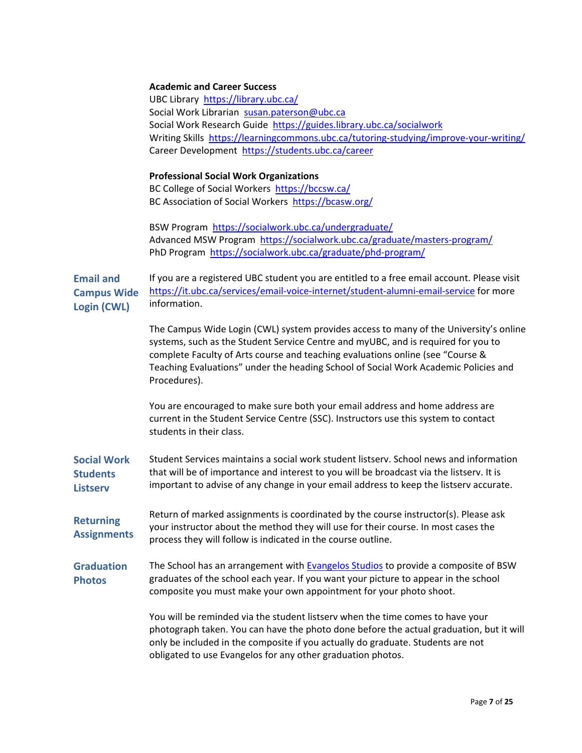#### **Academic and Career Success**

UBC Library <https://library.ubc.ca/> Social Work Librarian [susan.paterson@ubc.ca](mailto:susan.paterson@ubc.ca) Social Work Research Guide <https://guides.library.ubc.ca/socialwork> Writing Skills <https://learningcommons.ubc.ca/tutoring-studying/improve-your-writing/> Career Development <https://students.ubc.ca/career>

#### **Professional Social Work Organizations**

BC College of Social Workers <https://bccsw.ca/> BC Association of Social Workers <https://bcasw.org/>

BSW Program <https://socialwork.ubc.ca/undergraduate/> Advanced MSW Program <https://socialwork.ubc.ca/graduate/masters-program/> PhD Program <https://socialwork.ubc.ca/graduate/phd-program/>

**Email and Campus Wide Login (CWL)** If you are a registered UBC student you are entitled to a free email account. Please visit <https://it.ubc.ca/services/email-voice-internet/student-alumni-email-service> for more information.

> The Campus Wide Login (CWL) system provides access to many of the University's online systems, such as the Student Service Centre and myUBC, and is required for you to complete Faculty of Arts course and teaching evaluations online (see "Course & Teaching Evaluations" under the heading School of Social Work Academic Policies and Procedures).

You are encouraged to make sure both your email address and home address are current in the Student Service Centre (SSC). Instructors use this system to contact students in their class.

**Social Work Students Listserv** Student Services maintains a social work student listserv. School news and information that will be of importance and interest to you will be broadcast via the listserv. It is important to advise of any change in your email address to keep the listserv accurate.

**Returning Assignments** Return of marked assignments is coordinated by the course instructor(s). Please ask your instructor about the method they will use for their course. In most cases the process they will follow is indicated in the course outline.

**Graduation Photos** The School has an arrangement with [Evangelos Studios](http://www.evangelosphotography.com/) to provide a composite of BSW graduates of the school each year. If you want your picture to appear in the school composite you must make your own appointment for your photo shoot.

> You will be reminded via the student listserv when the time comes to have your photograph taken. You can have the photo done before the actual graduation, but it will only be included in the composite if you actually do graduate. Students are not obligated to use Evangelos for any other graduation photos.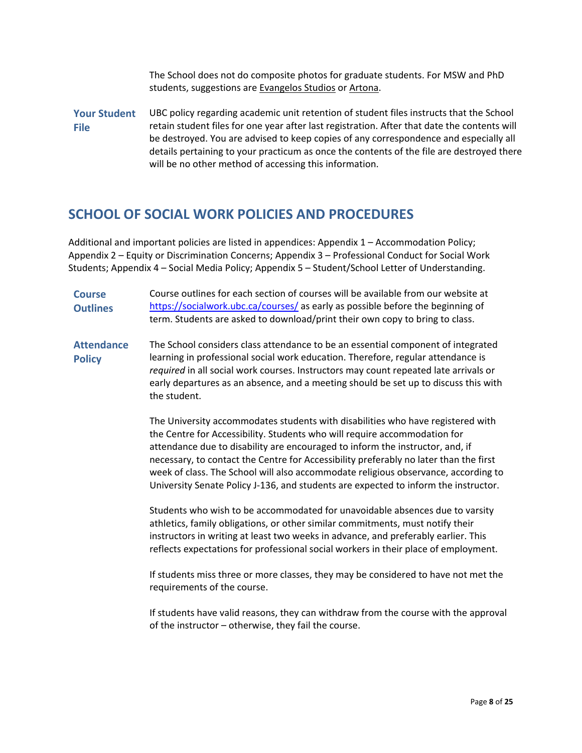The School does not do composite photos for graduate students. For MSW and PhD students, suggestions are [Evangelos Studios](http://www.evangelosphotography.com/) or [Artona.](http://www.artona.com/)

**Your Student File** UBC policy regarding academic unit retention of student files instructs that the School retain student files for one year after last registration. After that date the contents will be destroyed. You are advised to keep copies of any correspondence and especially all details pertaining to your practicum as once the contents of the file are destroyed there will be no other method of accessing this information.

### **SCHOOL OF SOCIAL WORK POLICIES AND PROCEDURES**

Additional and important policies are listed in appendices: Appendix 1 – Accommodation Policy; Appendix 2 – Equity or Discrimination Concerns; Appendix 3 – Professional Conduct for Social Work Students; Appendix 4 – Social Media Policy; Appendix 5 – Student/School Letter of Understanding.

**Course Outlines** Course outlines for each section of courses will be available from our website at <https://socialwork.ubc.ca/courses/> as early as possible before the beginning of term. Students are asked to download/print their own copy to bring to class.

**Attendance Policy** The School considers class attendance to be an essential component of integrated learning in professional social work education. Therefore, regular attendance is *required* in all social work courses. Instructors may count repeated late arrivals or early departures as an absence, and a meeting should be set up to discuss this with the student.

> The University accommodates students with disabilities who have registered with the Centre for Accessibility. Students who will require accommodation for attendance due to disability are encouraged to inform the instructor, and, if necessary, to contact the Centre for Accessibility preferably no later than the first week of class. The School will also accommodate religious observance, according to University Senate Policy J-136, and students are expected to inform the instructor.

Students who wish to be accommodated for unavoidable absences due to varsity athletics, family obligations, or other similar commitments, must notify their instructors in writing at least two weeks in advance, and preferably earlier. This reflects expectations for professional social workers in their place of employment.

If students miss three or more classes, they may be considered to have not met the requirements of the course.

If students have valid reasons, they can withdraw from the course with the approval of the instructor – otherwise, they fail the course.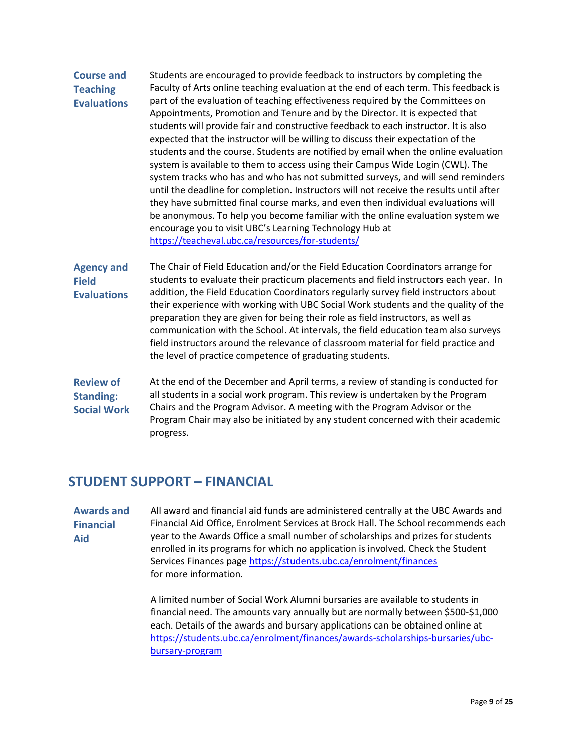### **Course and Teaching Evaluations**

Students are encouraged to provide feedback to instructors by completing the Faculty of Arts online teaching evaluation at the end of each term. This feedback is part of the evaluation of teaching effectiveness required by the Committees on Appointments, Promotion and Tenure and by the Director. It is expected that students will provide fair and constructive feedback to each instructor. It is also expected that the instructor will be willing to discuss their expectation of the students and the course. Students are notified by email when the online evaluation system is available to them to access using their Campus Wide Login (CWL). The system tracks who has and who has not submitted surveys, and will send reminders until the deadline for completion. Instructors will not receive the results until after they have submitted final course marks, and even then individual evaluations will be anonymous. To help you become familiar with the online evaluation system we encourage you to visit UBC's Learning Technology Hub at <https://teacheval.ubc.ca/resources/for-students/>

**Agency and Field Evaluations** The Chair of Field Education and/or the Field Education Coordinators arrange for students to evaluate their practicum placements and field instructors each year. In addition, the Field Education Coordinators regularly survey field instructors about their experience with working with UBC Social Work students and the quality of the preparation they are given for being their role as field instructors, as well as communication with the School. At intervals, the field education team also surveys field instructors around the relevance of classroom material for field practice and the level of practice competence of graduating students.

**Review of Standing: Social Work** At the end of the December and April terms, a review of standing is conducted for all students in a social work program. This review is undertaken by the Program Chairs and the Program Advisor. A meeting with the Program Advisor or the Program Chair may also be initiated by any student concerned with their academic progress.

### **STUDENT SUPPORT – FINANCIAL**

**Awards and Financial Aid** All award and financial aid funds are administered centrally at the UBC Awards and Financial Aid Office, Enrolment Services at Brock Hall. The School recommends each year to the Awards Office a small number of scholarships and prizes for students enrolled in its programs for which no application is involved. Check the Student Services Finances page<https://students.ubc.ca/enrolment/finances> for more information.

> A limited number of Social Work Alumni bursaries are available to students in financial need. The amounts vary annually but are normally between \$500-\$1,000 each. Details of the awards and bursary applications can be obtained online at [https://students.ubc.ca/enrolment/finances/awards-scholarships-bursaries/ubc](https://students.ubc.ca/enrolment/finances/awards-scholarships-bursaries/ubc-bursary-program)[bursary-program](https://students.ubc.ca/enrolment/finances/awards-scholarships-bursaries/ubc-bursary-program)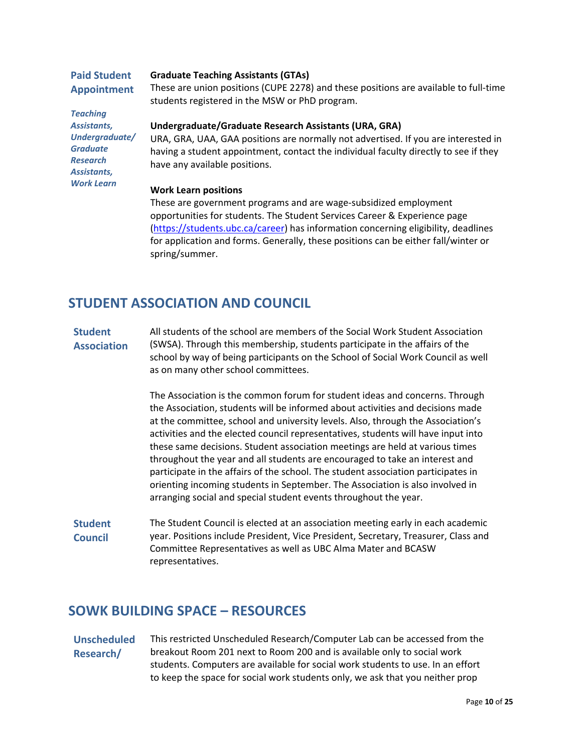| <b>Paid Student</b> | <b>Graduate Teaching Assistants (GTAs)</b>                                                                                             |
|---------------------|----------------------------------------------------------------------------------------------------------------------------------------|
| <b>Appointment</b>  | These are union positions (CUPE 2278) and these positions are available to full-time<br>students registered in the MSW or PhD program. |
| <b>Teaching</b>     |                                                                                                                                        |
| Assistants,         | Undergraduate/Graduate Research Assistants (URA, GRA)                                                                                  |
| Undergraduate/      | URA, GRA, UAA, GAA positions are normally not advertised. If you are interested in                                                     |
| <b>Graduate</b>     | having a student appointment, contact the individual faculty directly to see if they                                                   |
| <b>Research</b>     | have any available positions.                                                                                                          |
| Assistants,         |                                                                                                                                        |
| <b>Work Learn</b>   |                                                                                                                                        |

#### **Work Learn positions**

These are government programs and are wage-subsidized employment opportunities for students. The Student Services Career & Experience page [\(https://students.ubc.ca/career\)](https://students.ubc.ca/career) has information concerning eligibility, deadlines for application and forms. Generally, these positions can be either fall/winter or spring/summer.

### **STUDENT ASSOCIATION AND COUNCIL**

#### **Student Association**

All students of the school are members of the Social Work Student Association (SWSA). Through this membership, students participate in the affairs of the school by way of being participants on the School of Social Work Council as well as on many other school committees.

The Association is the common forum for student ideas and concerns. Through the Association, students will be informed about activities and decisions made at the committee, school and university levels. Also, through the Association's activities and the elected council representatives, students will have input into these same decisions. Student association meetings are held at various times throughout the year and all students are encouraged to take an interest and participate in the affairs of the school. The student association participates in orienting incoming students in September. The Association is also involved in arranging social and special student events throughout the year.

**Student Council** The Student Council is elected at an association meeting early in each academic year. Positions include President, Vice President, Secretary, Treasurer, Class and Committee Representatives as well as UBC Alma Mater and BCASW representatives.

### **SOWK BUILDING SPACE – RESOURCES**

**Unscheduled Research/** This restricted Unscheduled Research/Computer Lab can be accessed from the breakout Room 201 next to Room 200 and is available only to social work students. Computers are available for social work students to use. In an effort to keep the space for social work students only, we ask that you neither prop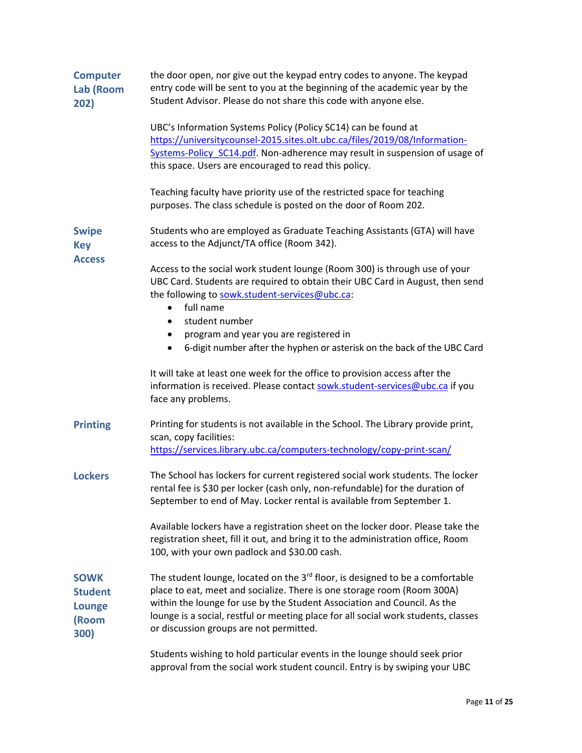| <b>Computer</b><br>Lab (Room<br>202)                            | the door open, nor give out the keypad entry codes to anyone. The keypad<br>entry code will be sent to you at the beginning of the academic year by the<br>Student Advisor. Please do not share this code with anyone else.                                                                                                                                                       |
|-----------------------------------------------------------------|-----------------------------------------------------------------------------------------------------------------------------------------------------------------------------------------------------------------------------------------------------------------------------------------------------------------------------------------------------------------------------------|
|                                                                 | UBC's Information Systems Policy (Policy SC14) can be found at<br>https://universitycounsel-2015.sites.olt.ubc.ca/files/2019/08/Information-<br>Systems-Policy SC14.pdf. Non-adherence may result in suspension of usage of<br>this space. Users are encouraged to read this policy.                                                                                              |
|                                                                 | Teaching faculty have priority use of the restricted space for teaching<br>purposes. The class schedule is posted on the door of Room 202.                                                                                                                                                                                                                                        |
| <b>Swipe</b><br><b>Key</b>                                      | Students who are employed as Graduate Teaching Assistants (GTA) will have<br>access to the Adjunct/TA office (Room 342).                                                                                                                                                                                                                                                          |
| <b>Access</b>                                                   | Access to the social work student lounge (Room 300) is through use of your<br>UBC Card. Students are required to obtain their UBC Card in August, then send<br>the following to sowk.student-services@ubc.ca:<br>full name<br>$\bullet$                                                                                                                                           |
|                                                                 | student number<br>$\bullet$                                                                                                                                                                                                                                                                                                                                                       |
|                                                                 | program and year you are registered in<br>٠                                                                                                                                                                                                                                                                                                                                       |
|                                                                 | 6-digit number after the hyphen or asterisk on the back of the UBC Card<br>$\bullet$                                                                                                                                                                                                                                                                                              |
|                                                                 | It will take at least one week for the office to provision access after the<br>information is received. Please contact sowk.student-services@ubc.ca if you<br>face any problems.                                                                                                                                                                                                  |
| <b>Printing</b>                                                 | Printing for students is not available in the School. The Library provide print,<br>scan, copy facilities:                                                                                                                                                                                                                                                                        |
|                                                                 | https://services.library.ubc.ca/computers-technology/copy-print-scan/                                                                                                                                                                                                                                                                                                             |
| <b>Lockers</b>                                                  | The School has lockers for current registered social work students. The locker<br>rental fee is \$30 per locker (cash only, non-refundable) for the duration of<br>September to end of May. Locker rental is available from September 1.                                                                                                                                          |
|                                                                 | Available lockers have a registration sheet on the locker door. Please take the<br>registration sheet, fill it out, and bring it to the administration office, Room<br>100, with your own padlock and \$30.00 cash.                                                                                                                                                               |
| <b>SOWK</b><br><b>Student</b><br><b>Lounge</b><br>(Room<br>300) | The student lounge, located on the 3 <sup>rd</sup> floor, is designed to be a comfortable<br>place to eat, meet and socialize. There is one storage room (Room 300A)<br>within the lounge for use by the Student Association and Council. As the<br>lounge is a social, restful or meeting place for all social work students, classes<br>or discussion groups are not permitted. |
|                                                                 | Students wishing to hold particular events in the lounge should seek prior<br>approval from the social work student council. Entry is by swiping your UBC                                                                                                                                                                                                                         |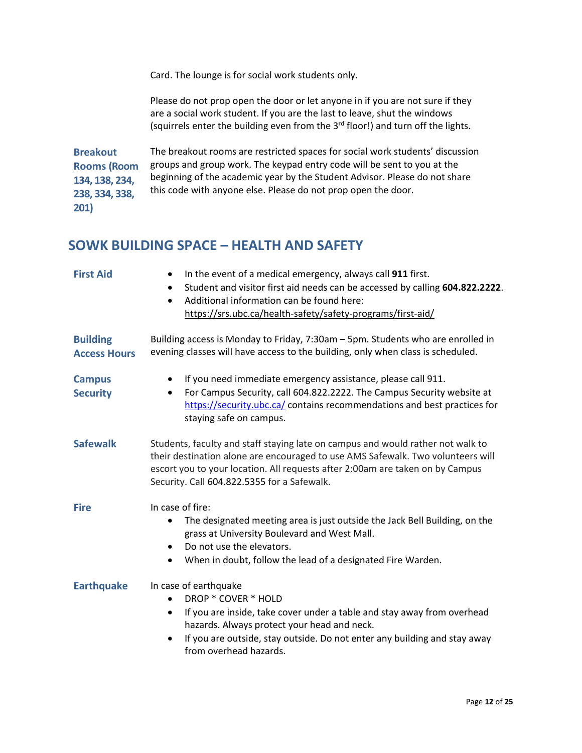Card. The lounge is for social work students only.

Please do not prop open the door or let anyone in if you are not sure if they are a social work student. If you are the last to leave, shut the windows (squirrels enter the building even from the 3<sup>rd</sup> floor!) and turn off the lights.

**Breakout Rooms (Room 134, 138, 234, 238, 334, 338, 201)** The breakout rooms are restricted spaces for social work students' discussion groups and group work. The keypad entry code will be sent to you at the beginning of the academic year by the Student Advisor. Please do not share this code with anyone else. Please do not prop open the door.

### **SOWK BUILDING SPACE – HEALTH AND SAFETY**

| <b>First Aid</b>                       | In the event of a medical emergency, always call 911 first.<br>$\bullet$<br>Student and visitor first aid needs can be accessed by calling 604.822.2222.<br>$\bullet$<br>Additional information can be found here:<br>$\bullet$<br>https://srs.ubc.ca/health-safety/safety-programs/first-aid/          |
|----------------------------------------|---------------------------------------------------------------------------------------------------------------------------------------------------------------------------------------------------------------------------------------------------------------------------------------------------------|
| <b>Building</b><br><b>Access Hours</b> | Building access is Monday to Friday, 7:30am - 5pm. Students who are enrolled in<br>evening classes will have access to the building, only when class is scheduled.                                                                                                                                      |
| <b>Campus</b><br><b>Security</b>       | If you need immediate emergency assistance, please call 911.<br>For Campus Security, call 604.822.2222. The Campus Security website at<br>٠<br>https://security.ubc.ca/ contains recommendations and best practices for<br>staying safe on campus.                                                      |
| <b>Safewalk</b>                        | Students, faculty and staff staying late on campus and would rather not walk to<br>their destination alone are encouraged to use AMS Safewalk. Two volunteers will<br>escort you to your location. All requests after 2:00am are taken on by Campus<br>Security. Call 604.822.5355 for a Safewalk.      |
| <b>Fire</b>                            | In case of fire:<br>The designated meeting area is just outside the Jack Bell Building, on the<br>$\bullet$<br>grass at University Boulevard and West Mall.<br>Do not use the elevators.<br>$\bullet$<br>When in doubt, follow the lead of a designated Fire Warden.<br>$\bullet$                       |
| <b>Earthquake</b>                      | In case of earthquake<br>DROP * COVER * HOLD<br>If you are inside, take cover under a table and stay away from overhead<br>$\bullet$<br>hazards. Always protect your head and neck.<br>If you are outside, stay outside. Do not enter any building and stay away<br>$\bullet$<br>from overhead hazards. |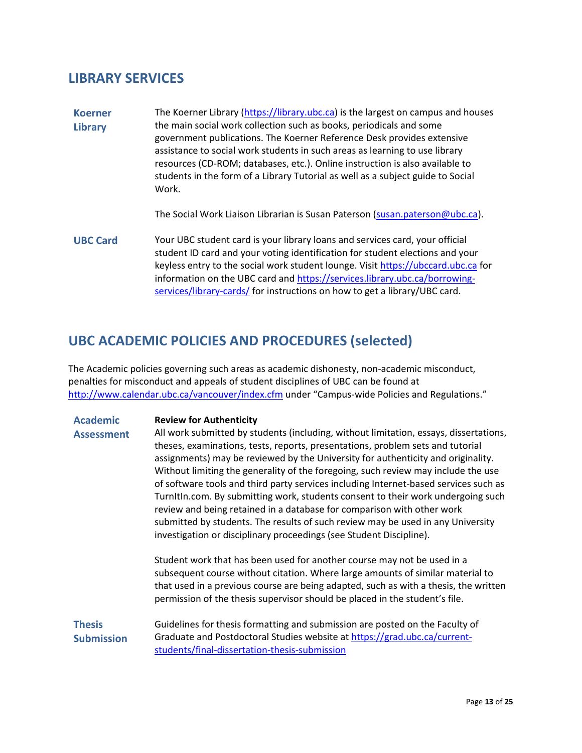### **LIBRARY SERVICES**

**Koerner Library** The Koerner Library [\(https://library.ubc.ca\)](https://library.ubc.ca/) is the largest on campus and houses the main social work collection such as books, periodicals and some government publications. The Koerner Reference Desk provides extensive assistance to social work students in such areas as learning to use library resources (CD-ROM; databases, etc.). Online instruction is also available to students in the form of a Library Tutorial as well as a subject guide to Social Work.

The Social Work Liaison Librarian is Susan Paterson [\(susan.paterson@ubc.ca\)](mailto:susan.paterson@ubc.ca).

**UBC Card** Your UBC student card is your library loans and services card, your official student ID card and your voting identification for student elections and your keyless entry to the social work student lounge. Visit [https://ubccard.ubc.ca](https://ubccard.ubc.ca/) for information on the UBC card an[d https://services.library.ubc.ca/borrowing](https://services.library.ubc.ca/borrowing-services/library-cards/)[services/library-cards/](https://services.library.ubc.ca/borrowing-services/library-cards/) for instructions on how to get a library/UBC card.

# **UBC ACADEMIC POLICIES AND PROCEDURES (selected)**

The Academic policies governing such areas as academic dishonesty, non-academic misconduct, penalties for misconduct and appeals of student disciplines of UBC can be found at <http://www.calendar.ubc.ca/vancouver/index.cfm> under "Campus-wide Policies and Regulations."

| <b>Academic</b>                    | <b>Review for Authenticity</b>                                                                                                                                                                                                                                                                                                                                                                                                                                                                                                                                                                                                                                                                                                                                   |
|------------------------------------|------------------------------------------------------------------------------------------------------------------------------------------------------------------------------------------------------------------------------------------------------------------------------------------------------------------------------------------------------------------------------------------------------------------------------------------------------------------------------------------------------------------------------------------------------------------------------------------------------------------------------------------------------------------------------------------------------------------------------------------------------------------|
| <b>Assessment</b>                  | All work submitted by students (including, without limitation, essays, dissertations,<br>theses, examinations, tests, reports, presentations, problem sets and tutorial<br>assignments) may be reviewed by the University for authenticity and originality.<br>Without limiting the generality of the foregoing, such review may include the use<br>of software tools and third party services including Internet-based services such as<br>Turnitin.com. By submitting work, students consent to their work undergoing such<br>review and being retained in a database for comparison with other work<br>submitted by students. The results of such review may be used in any University<br>investigation or disciplinary proceedings (see Student Discipline). |
|                                    | Student work that has been used for another course may not be used in a<br>subsequent course without citation. Where large amounts of similar material to<br>that used in a previous course are being adapted, such as with a thesis, the written<br>permission of the thesis supervisor should be placed in the student's file.                                                                                                                                                                                                                                                                                                                                                                                                                                 |
| <b>Thesis</b><br><b>Submission</b> | Guidelines for thesis formatting and submission are posted on the Faculty of<br>Graduate and Postdoctoral Studies website at https://grad.ubc.ca/current-<br>students/final-dissertation-thesis-submission                                                                                                                                                                                                                                                                                                                                                                                                                                                                                                                                                       |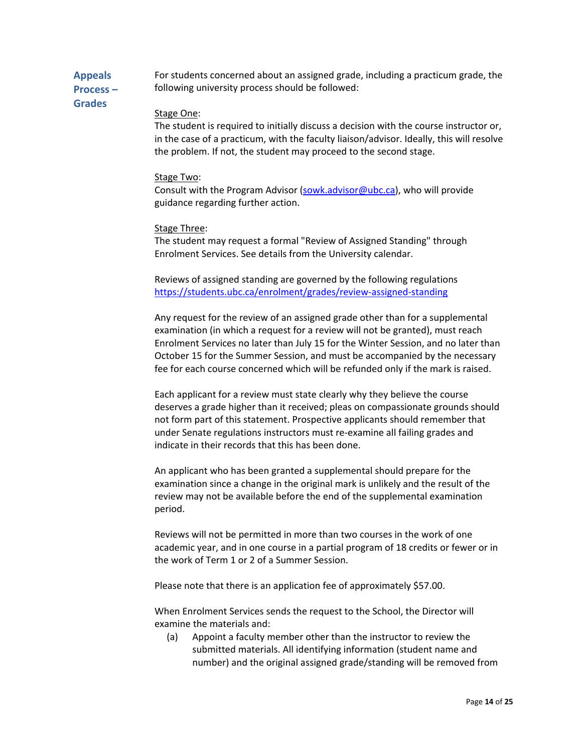**Appeals Process –** For students concerned about an assigned grade, including a practicum grade, the following university process should be followed:

**Grades**

#### Stage One:

The student is required to initially discuss a decision with the course instructor or, in the case of a practicum, with the faculty liaison/advisor. Ideally, this will resolve the problem. If not, the student may proceed to the second stage.

#### Stage Two:

Consult with the Program Advisor [\(sowk.advisor@ubc.ca\)](mailto:sowk.advisor@ubc.ca), who will provide guidance regarding further action.

#### Stage Three:

The student may request a formal "Review of Assigned Standing" through Enrolment Services. See details from the University calendar.

Reviews of assigned standing are governed by the following regulations <https://students.ubc.ca/enrolment/grades/review-assigned-standing>

Any request for the review of an assigned grade other than for a supplemental examination (in which a request for a review will not be granted), must reach Enrolment Services no later than July 15 for the Winter Session, and no later than October 15 for the Summer Session, and must be accompanied by the necessary fee for each course concerned which will be refunded only if the mark is raised.

Each applicant for a review must state clearly why they believe the course deserves a grade higher than it received; pleas on compassionate grounds should not form part of this statement. Prospective applicants should remember that under Senate regulations instructors must re-examine all failing grades and indicate in their records that this has been done.

An applicant who has been granted a supplemental should prepare for the examination since a change in the original mark is unlikely and the result of the review may not be available before the end of the supplemental examination period.

Reviews will not be permitted in more than two courses in the work of one academic year, and in one course in a partial program of 18 credits or fewer or in the work of Term 1 or 2 of a Summer Session.

Please note that there is an application fee of approximately \$57.00.

When Enrolment Services sends the request to the School, the Director will examine the materials and:

(a) Appoint a faculty member other than the instructor to review the submitted materials. All identifying information (student name and number) and the original assigned grade/standing will be removed from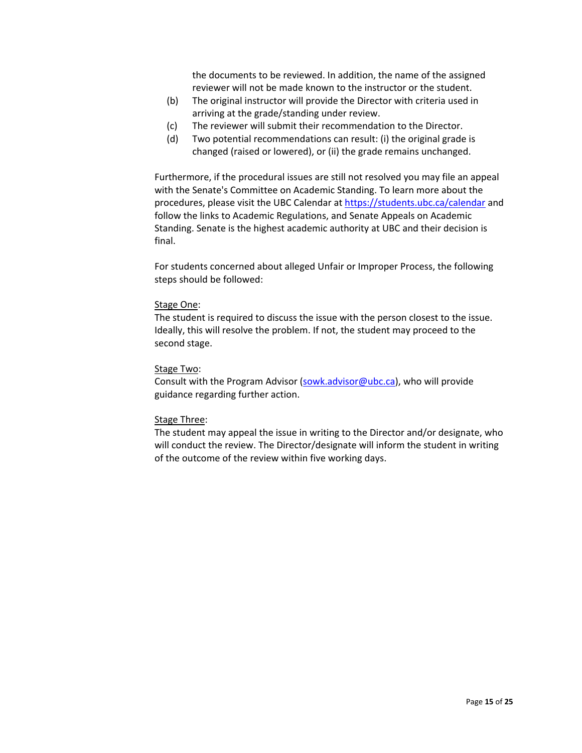the documents to be reviewed. In addition, the name of the assigned reviewer will not be made known to the instructor or the student.

- (b) The original instructor will provide the Director with criteria used in arriving at the grade/standing under review.
- (c) The reviewer will submit their recommendation to the Director.
- (d) Two potential recommendations can result: (i) the original grade is changed (raised or lowered), or (ii) the grade remains unchanged.

Furthermore, if the procedural issues are still not resolved you may file an appeal with the Senate's Committee on Academic Standing. To learn more about the procedures, please visit the UBC Calendar at<https://students.ubc.ca/calendar> and follow the links to Academic Regulations, and Senate Appeals on Academic Standing. Senate is the highest academic authority at UBC and their decision is final.

For students concerned about alleged Unfair or Improper Process, the following steps should be followed:

#### Stage One:

The student is required to discuss the issue with the person closest to the issue. Ideally, this will resolve the problem. If not, the student may proceed to the second stage.

#### Stage Two:

Consult with the Program Advisor [\(sowk.advisor@ubc.ca\)](mailto:sowk.advisor@ubc.ca), who will provide guidance regarding further action.

#### Stage Three:

The student may appeal the issue in writing to the Director and/or designate, who will conduct the review. The Director/designate will inform the student in writing of the outcome of the review within five working days.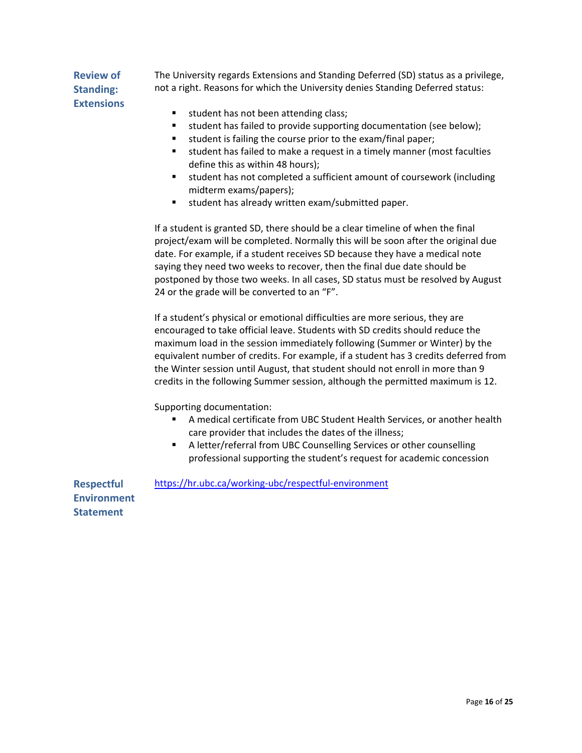#### **Review of Standing: Extensions**

The University regards Extensions and Standing Deferred (SD) status as a privilege, not a right. Reasons for which the University denies Standing Deferred status:

- student has not been attending class;
- student has failed to provide supporting documentation (see below);
- student is failing the course prior to the exam/final paper;
- student has failed to make a request in a timely manner (most faculties define this as within 48 hours);
- student has not completed a sufficient amount of coursework (including midterm exams/papers);
- student has already written exam/submitted paper.

If a student is granted SD, there should be a clear timeline of when the final project/exam will be completed. Normally this will be soon after the original due date. For example, if a student receives SD because they have a medical note saying they need two weeks to recover, then the final due date should be postponed by those two weeks. In all cases, SD status must be resolved by August 24 or the grade will be converted to an "F".

If a student's physical or emotional difficulties are more serious, they are encouraged to take official leave. Students with SD credits should reduce the maximum load in the session immediately following (Summer or Winter) by the equivalent number of credits. For example, if a student has 3 credits deferred from the Winter session until August, that student should not enroll in more than 9 credits in the following Summer session, although the permitted maximum is 12.

Supporting documentation:

- A medical certificate from UBC Student Health Services, or another health care provider that includes the dates of the illness;
- A letter/referral from UBC Counselling Services or other counselling professional supporting the student's request for academic concession

**Respectful Environment Statement** <https://hr.ubc.ca/working-ubc/respectful-environment>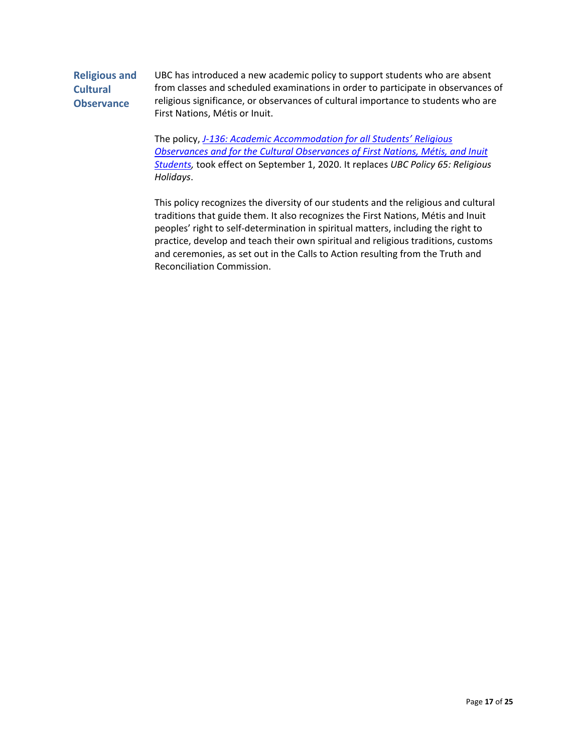#### **Religious and Cultural Observance** UBC has introduced a new academic policy to support students who are absent from classes and scheduled examinations in order to participate in observances of religious significance, or observances of cultural importance to students who are First Nations, Métis or Inuit.

The policy, *[J-136: Academic Accommodation for all Students' Religious](https://equity3.sites.olt.ubc.ca/files/2020/08/J-136_Final_ReligiousObsevances_PostConsultation20200309.pdf)  [Observances and for the Cultural Observances of First](https://equity3.sites.olt.ubc.ca/files/2020/08/J-136_Final_ReligiousObsevances_PostConsultation20200309.pdf) Nations, Métis, and Inuit [Students,](https://equity3.sites.olt.ubc.ca/files/2020/08/J-136_Final_ReligiousObsevances_PostConsultation20200309.pdf)* took effect on September 1, 2020. It replaces *UBC Policy 65: Religious Holidays*.

This policy recognizes the diversity of our students and the religious and cultural traditions that guide them. It also recognizes the First Nations, Métis and Inuit peoples' right to self-determination in spiritual matters, including the right to practice, develop and teach their own spiritual and religious traditions, customs and ceremonies, as set out in the Calls to Action resulting from the Truth and Reconciliation Commission.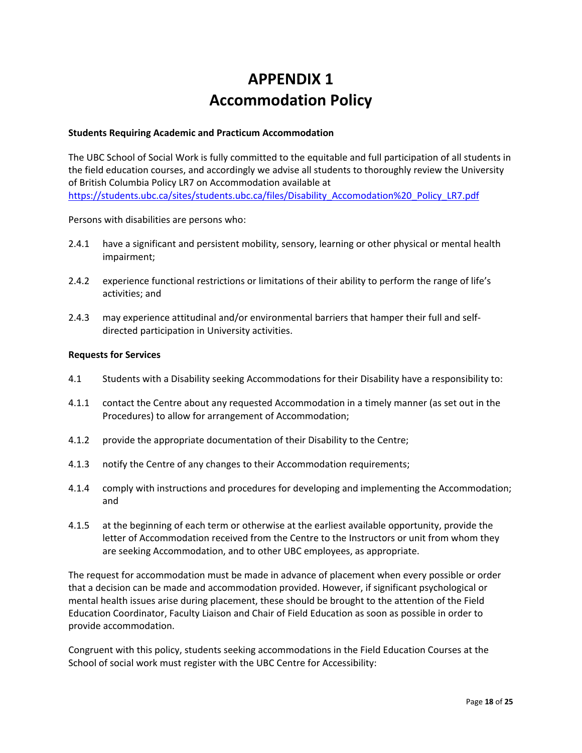# **APPENDIX 1 Accommodation Policy**

#### **Students Requiring Academic and Practicum Accommodation**

The UBC School of Social Work is fully committed to the equitable and full participation of all students in the field education courses, and accordingly we advise all students to thoroughly review the University of British Columbia Policy LR7 on Accommodation available at [https://students.ubc.ca/sites/students.ubc.ca/files/Disability\\_Accomodation%20\\_Policy\\_LR7.pdf](https://students.ubc.ca/sites/students.ubc.ca/files/Disability_Accomodation%20_Policy_LR7.pdf)

Persons with disabilities are persons who:

- 2.4.1 have a significant and persistent mobility, sensory, learning or other physical or mental health impairment;
- 2.4.2 experience functional restrictions or limitations of their ability to perform the range of life's activities; and
- 2.4.3 may experience attitudinal and/or environmental barriers that hamper their full and selfdirected participation in University activities.

#### **Requests for Services**

- 4.1 Students with a Disability seeking Accommodations for their Disability have a responsibility to:
- 4.1.1 contact the Centre about any requested Accommodation in a timely manner (as set out in the Procedures) to allow for arrangement of Accommodation;
- 4.1.2 provide the appropriate documentation of their Disability to the Centre;
- 4.1.3 notify the Centre of any changes to their Accommodation requirements;
- 4.1.4 comply with instructions and procedures for developing and implementing the Accommodation; and
- 4.1.5 at the beginning of each term or otherwise at the earliest available opportunity, provide the letter of Accommodation received from the Centre to the Instructors or unit from whom they are seeking Accommodation, and to other UBC employees, as appropriate.

The request for accommodation must be made in advance of placement when every possible or order that a decision can be made and accommodation provided. However, if significant psychological or mental health issues arise during placement, these should be brought to the attention of the Field Education Coordinator, Faculty Liaison and Chair of Field Education as soon as possible in order to provide accommodation.

Congruent with this policy, students seeking accommodations in the Field Education Courses at the School of social work must register with the UBC Centre for Accessibility: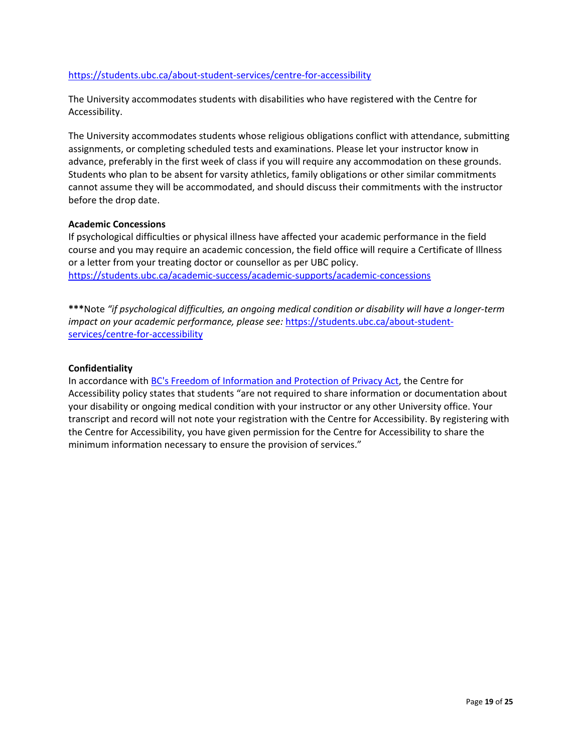#### <https://students.ubc.ca/about-student-services/centre-for-accessibility>

The University accommodates students with disabilities who have registered with the Centre for Accessibility.

The University accommodates students whose religious obligations conflict with attendance, submitting assignments, or completing scheduled tests and examinations. Please let your instructor know in advance, preferably in the first week of class if you will require any accommodation on these grounds. Students who plan to be absent for varsity athletics, family obligations or other similar commitments cannot assume they will be accommodated, and should discuss their commitments with the instructor before the drop date.

#### **Academic Concessions**

If psychological difficulties or physical illness have affected your academic performance in the field course and you may require an academic concession, the field office will require a Certificate of Illness or a letter from your treating doctor or counsellor as per UBC policy. <https://students.ubc.ca/academic-success/academic-supports/academic-concessions>

**\*\*\***Note *"if psychological difficulties, an ongoing medical condition or disability will have a longer-term impact on your academic performance, please see:* [https://students.ubc.ca/about-student](https://students.ubc.ca/about-student-services/centre-for-accessibility)[services/centre-for-accessibility](https://students.ubc.ca/about-student-services/centre-for-accessibility)

#### **Confidentiality**

In accordance with [BC's Freedom of Information and Protection of Privacy Act,](http://www.oipc.bc.ca/for-the-public/what-are-my-rights.aspx) the Centre for Accessibility policy states that students "are not required to share information or documentation about your disability or ongoing medical condition with your instructor or any other University office. Your transcript and record will not note your registration with the Centre for Accessibility. By registering with the Centre for Accessibility, you have given permission for the Centre for Accessibility to share the minimum information necessary to ensure the provision of services."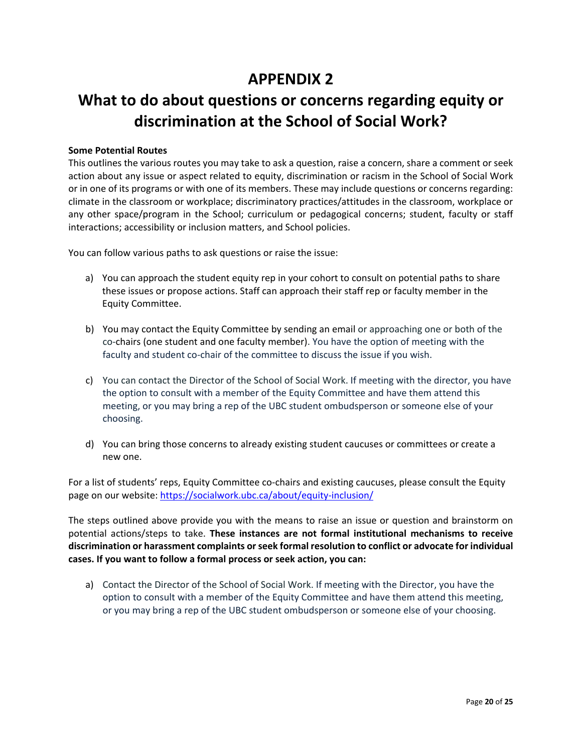# **APPENDIX 2**

# **What to do about questions or concerns regarding equity or discrimination at the School of Social Work?**

#### **Some Potential Routes**

This outlines the various routes you may take to ask a question, raise a concern, share a comment or seek action about any issue or aspect related to equity, discrimination or racism in the School of Social Work or in one of its programs or with one of its members. These may include questions or concerns regarding: climate in the classroom or workplace; discriminatory practices/attitudes in the classroom, workplace or any other space/program in the School; curriculum or pedagogical concerns; student, faculty or staff interactions; accessibility or inclusion matters, and School policies.

You can follow various paths to ask questions or raise the issue:

- a) You can approach the student equity rep in your cohort to consult on potential paths to share these issues or propose actions. Staff can approach their staff rep or faculty member in the Equity Committee.
- b) You may contact the Equity Committee by sending an email or approaching one or both of the co-chairs (one student and one faculty member). You have the option of meeting with the faculty and student co-chair of the committee to discuss the issue if you wish.
- c) You can contact the Director of the School of Social Work. If meeting with the director, you have the option to consult with a member of the Equity Committee and have them attend this meeting, or you may bring a rep of the UBC student ombudsperson or someone else of your choosing.
- d) You can bring those concerns to already existing student caucuses or committees or create a new one.

For a list of students' reps, Equity Committee co-chairs and existing caucuses, please consult the Equity page on our website[: https://socialwork.ubc.ca/about/equity-inclusion/](https://socialwork.ubc.ca/about/equity-inclusion/)

The steps outlined above provide you with the means to raise an issue or question and brainstorm on potential actions/steps to take. **These instances are not formal institutional mechanisms to receive discrimination or harassment complaints or seek formal resolution to conflict or advocate for individual cases. If you want to follow a formal process or seek action, you can:**

a) Contact the Director of the School of Social Work. If meeting with the Director, you have the option to consult with a member of the Equity Committee and have them attend this meeting, or you may bring a rep of the UBC student ombudsperson or someone else of your choosing.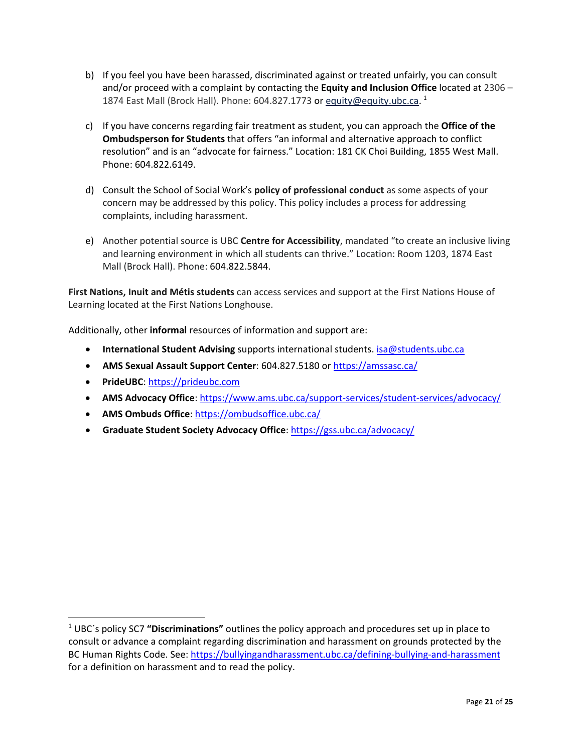- b) If you feel you have been harassed, discriminated against or treated unfairly, you can consult and/or proceed with a complaint by contacting the **Equity and Inclusion Office** located at 2306 – 1874 East Mall (Brock Hall). Phone: 604.827.1773 or [equity@equity.ubc.ca.](mailto:equity@equity.ubc.ca) <sup>[1](#page-20-0)</sup>
- c) If you have concerns regarding fair treatment as student, you can approach the **Office of the Ombudsperson for Students** that offers "an informal and alternative approach to conflict resolution" and is an "advocate for fairness." Location: 181 CK Choi Building, 1855 West Mall. Phone: 604.822.6149.
- d) Consult the School of Social Work's **policy of professional conduct** as some aspects of your concern may be addressed by this policy. This policy includes a process for addressing complaints, including harassment.
- e) Another potential source is UBC **Centre for Accessibility**, mandated "to create an inclusive living and learning environment in which all students can thrive." Location: Room 1203, 1874 East Mall (Brock Hall). Phone: 604.822.5844.

**First Nations, Inuit and Métis students** can access services and support at the First Nations House of Learning located at the First Nations Longhouse.

Additionally, other **informal** resources of information and support are:

- **International Student Advising** supports international students. [isa@students.ubc.ca](mailto:isa@students.ubc.ca)
- **AMS Sexual Assault Support Center**: 604.827.5180 or<https://amssasc.ca/>
- **PrideUBC**: [https://prideubc.com](https://prideubc.com/)

 $\overline{\phantom{a}}$ 

- **AMS Advocacy Office**:<https://www.ams.ubc.ca/support-services/student-services/advocacy/>
- **AMS Ombuds Office**:<https://ombudsoffice.ubc.ca/>
- **Graduate Student Society Advocacy Office**:<https://gss.ubc.ca/advocacy/>

<span id="page-20-0"></span><sup>1</sup> UBC´s policy SC7 **"Discriminations"** outlines the policy approach and procedures set up in place to consult or advance a complaint regarding discrimination and harassment on grounds protected by the BC Human Rights Code. See:<https://bullyingandharassment.ubc.ca/defining-bullying-and-harassment> for a definition on harassment and to read the policy.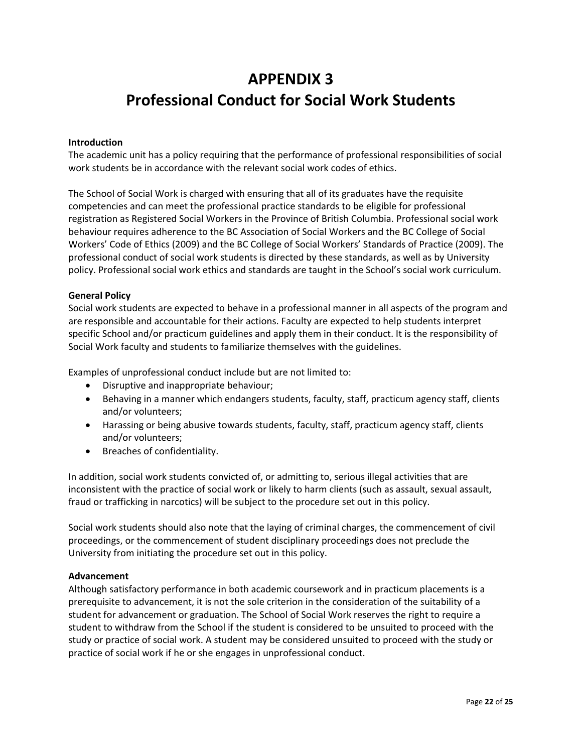# **APPENDIX 3 Professional Conduct for Social Work Students**

#### **Introduction**

The academic unit has a policy requiring that the performance of professional responsibilities of social work students be in accordance with the relevant social work codes of ethics.

The School of Social Work is charged with ensuring that all of its graduates have the requisite competencies and can meet the professional practice standards to be eligible for professional registration as Registered Social Workers in the Province of British Columbia. Professional social work behaviour requires adherence to the BC Association of Social Workers and the BC College of Social Workers' Code of Ethics (2009) and the BC College of Social Workers' Standards of Practice (2009). The professional conduct of social work students is directed by these standards, as well as by University policy. Professional social work ethics and standards are taught in the School's social work curriculum.

#### **General Policy**

Social work students are expected to behave in a professional manner in all aspects of the program and are responsible and accountable for their actions. Faculty are expected to help students interpret specific School and/or practicum guidelines and apply them in their conduct. It is the responsibility of Social Work faculty and students to familiarize themselves with the guidelines.

Examples of unprofessional conduct include but are not limited to:

- Disruptive and inappropriate behaviour;
- Behaving in a manner which endangers students, faculty, staff, practicum agency staff, clients and/or volunteers;
- Harassing or being abusive towards students, faculty, staff, practicum agency staff, clients and/or volunteers;
- Breaches of confidentiality.

In addition, social work students convicted of, or admitting to, serious illegal activities that are inconsistent with the practice of social work or likely to harm clients (such as assault, sexual assault, fraud or trafficking in narcotics) will be subject to the procedure set out in this policy.

Social work students should also note that the laying of criminal charges, the commencement of civil proceedings, or the commencement of student disciplinary proceedings does not preclude the University from initiating the procedure set out in this policy.

#### **Advancement**

Although satisfactory performance in both academic coursework and in practicum placements is a prerequisite to advancement, it is not the sole criterion in the consideration of the suitability of a student for advancement or graduation. The School of Social Work reserves the right to require a student to withdraw from the School if the student is considered to be unsuited to proceed with the study or practice of social work. A student may be considered unsuited to proceed with the study or practice of social work if he or she engages in unprofessional conduct.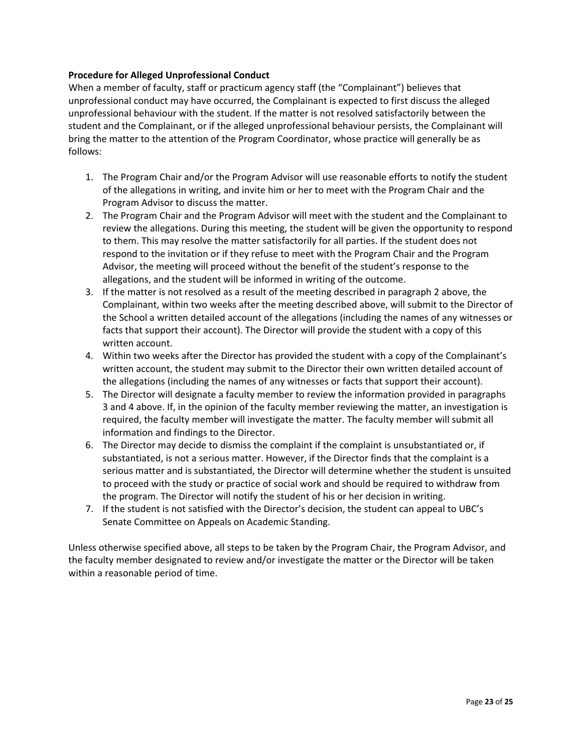#### **Procedure for Alleged Unprofessional Conduct**

When a member of faculty, staff or practicum agency staff (the "Complainant") believes that unprofessional conduct may have occurred, the Complainant is expected to first discuss the alleged unprofessional behaviour with the student. If the matter is not resolved satisfactorily between the student and the Complainant, or if the alleged unprofessional behaviour persists, the Complainant will bring the matter to the attention of the Program Coordinator, whose practice will generally be as follows:

- 1. The Program Chair and/or the Program Advisor will use reasonable efforts to notify the student of the allegations in writing, and invite him or her to meet with the Program Chair and the Program Advisor to discuss the matter.
- 2. The Program Chair and the Program Advisor will meet with the student and the Complainant to review the allegations. During this meeting, the student will be given the opportunity to respond to them. This may resolve the matter satisfactorily for all parties. If the student does not respond to the invitation or if they refuse to meet with the Program Chair and the Program Advisor, the meeting will proceed without the benefit of the student's response to the allegations, and the student will be informed in writing of the outcome.
- 3. If the matter is not resolved as a result of the meeting described in paragraph 2 above, the Complainant, within two weeks after the meeting described above, will submit to the Director of the School a written detailed account of the allegations (including the names of any witnesses or facts that support their account). The Director will provide the student with a copy of this written account.
- 4. Within two weeks after the Director has provided the student with a copy of the Complainant's written account, the student may submit to the Director their own written detailed account of the allegations (including the names of any witnesses or facts that support their account).
- 5. The Director will designate a faculty member to review the information provided in paragraphs 3 and 4 above. If, in the opinion of the faculty member reviewing the matter, an investigation is required, the faculty member will investigate the matter. The faculty member will submit all information and findings to the Director.
- 6. The Director may decide to dismiss the complaint if the complaint is unsubstantiated or, if substantiated, is not a serious matter. However, if the Director finds that the complaint is a serious matter and is substantiated, the Director will determine whether the student is unsuited to proceed with the study or practice of social work and should be required to withdraw from the program. The Director will notify the student of his or her decision in writing.
- 7. If the student is not satisfied with the Director's decision, the student can appeal to UBC's Senate Committee on Appeals on Academic Standing.

Unless otherwise specified above, all steps to be taken by the Program Chair, the Program Advisor, and the faculty member designated to review and/or investigate the matter or the Director will be taken within a reasonable period of time.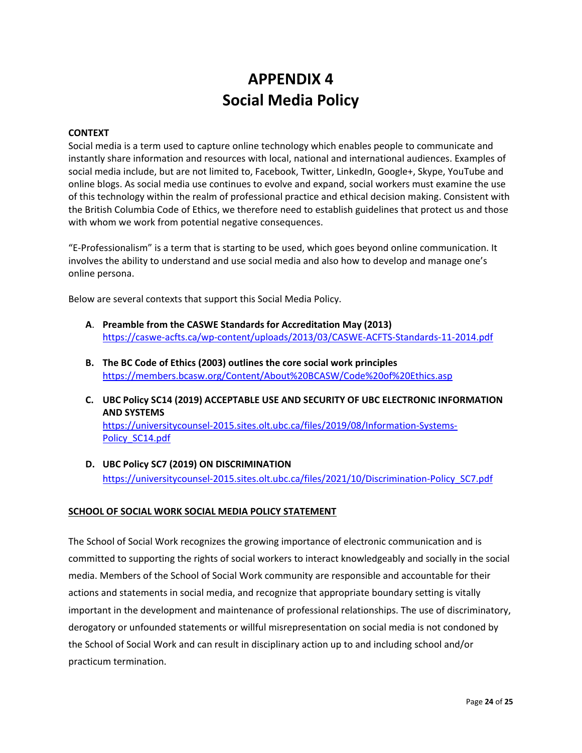# **APPENDIX 4 Social Media Policy**

#### **CONTEXT**

Social media is a term used to capture online technology which enables people to communicate and instantly share information and resources with local, national and international audiences. Examples of social media include, but are not limited to, Facebook, Twitter, LinkedIn, Google+, Skype, YouTube and online blogs. As social media use continues to evolve and expand, social workers must examine the use of this technology within the realm of professional practice and ethical decision making. Consistent with the British Columbia Code of Ethics, we therefore need to establish guidelines that protect us and those with whom we work from potential negative consequences.

"E-Professionalism" is a term that is starting to be used, which goes beyond online communication. It involves the ability to understand and use social media and also how to develop and manage one's online persona.

Below are several contexts that support this Social Media Policy.

- **A**. **Preamble from the CASWE Standards for Accreditation May (2013)**  <https://caswe-acfts.ca/wp-content/uploads/2013/03/CASWE-ACFTS-Standards-11-2014.pdf>
- **B. The BC Code of Ethics (2003) outlines the core social work principles**  <https://members.bcasw.org/Content/About%20BCASW/Code%20of%20Ethics.asp>
- **C. UBC Policy SC14 (2019) ACCEPTABLE USE AND SECURITY OF UBC ELECTRONIC INFORMATION AND SYSTEMS**

[https://universitycounsel-2015.sites.olt.ubc.ca/files/2019/08/Information-Systems-](https://universitycounsel-2015.sites.olt.ubc.ca/files/2019/08/Information-Systems-Policy_SC14.pdf)[Policy\\_SC14.pdf](https://universitycounsel-2015.sites.olt.ubc.ca/files/2019/08/Information-Systems-Policy_SC14.pdf)

**D. UBC Policy SC7 (2019) ON DISCRIMINATION** [https://universitycounsel-2015.sites.olt.ubc.ca/files/2021/10/Discrimination-Policy\\_SC7.pdf](https://universitycounsel-2015.sites.olt.ubc.ca/files/2021/10/Discrimination-Policy_SC7.pdf)

#### **SCHOOL OF SOCIAL WORK SOCIAL MEDIA POLICY STATEMENT**

The School of Social Work recognizes the growing importance of electronic communication and is committed to supporting the rights of social workers to interact knowledgeably and socially in the social media. Members of the School of Social Work community are responsible and accountable for their actions and statements in social media, and recognize that appropriate boundary setting is vitally important in the development and maintenance of professional relationships. The use of discriminatory, derogatory or unfounded statements or willful misrepresentation on social media is not condoned by the School of Social Work and can result in disciplinary action up to and including school and/or practicum termination.